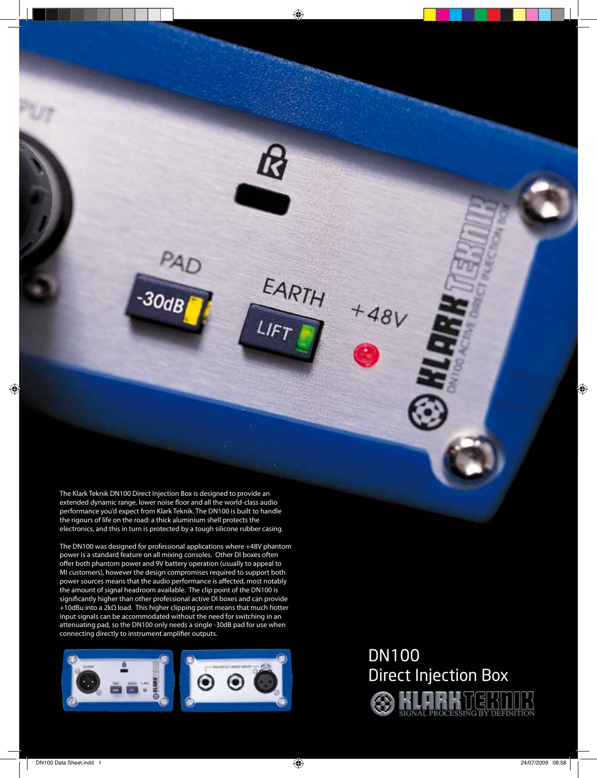The Klark Teknik DN100 Direct Injection Box is designed to provide an extended dynamic range, lower noise floor and all the world-class audio performance you'd expect from Klark Teknik. The DN100 is built to handle the rigours of life on the road: a thick aluminium shell protects the electronics, and this in turn is protected by a tough silicone rubber casing.

PAD<br>30dB

R

EARTH

LIFT

 $+48V$ 

The DN100 was designed for professional applications where +48V phantom power is a standard feature on all mixing consoles. Other DI boxes often offer both phantom power and 9V battery operation (usually to appeal to MI customers), however the design compromises required to support both power sources means that the audio performance is affected, most notably the amount of signal headroom available. The clip point of the DN100 is significantly higher than other professional active DI boxes and can provide +10dBu into a 2kΩ load. This higher clipping point means that much hotter input signals can be accommodated without the need for switching in an attenuating pad, so the DN100 only needs a single -30dB pad for use when connecting directly to instrument amplifier outputs.



# DN100 Direct Injection Box